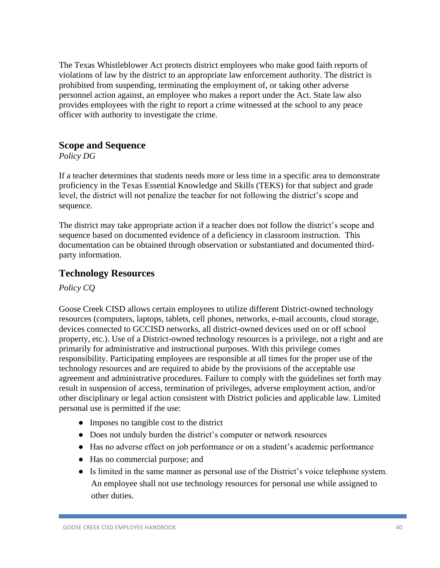The Texas Whistleblower Act protects district employees who make good faith reports of violations of law by the district to an appropriate law enforcement authority. The district is prohibited from suspending, terminating the employment of, or taking other adverse personnel action against, an employee who makes a report under the Act. State law also provides employees with the right to report a crime witnessed at the school to any peace officer with authority to investigate the crime.

### **Scope and Sequence**

*Policy DG*

If a teacher determines that students needs more or less time in a specific area to demonstrate proficiency in the Texas Essential Knowledge and Skills (TEKS) for that subject and grade level, the district will not penalize the teacher for not following the district's scope and sequence.

The district may take appropriate action if a teacher does not follow the district's scope and sequence based on documented evidence of a deficiency in classroom instruction. This documentation can be obtained through observation or substantiated and documented thirdparty information.

### **Technology Resources**

#### *Policy CQ*

Goose Creek CISD allows certain employees to utilize different District-owned technology resources (computers, laptops, tablets, cell phones, networks, e-mail accounts, cloud storage, devices connected to GCCISD networks, all district-owned devices used on or off school property, etc.). Use of a District-owned technology resources is a privilege, not a right and are primarily for administrative and instructional purposes. With this privilege comes responsibility. Participating employees are responsible at all times for the proper use of the technology resources and are required to abide by the provisions of the acceptable use agreement and administrative procedures. Failure to comply with the guidelines set forth may result in suspension of access, termination of privileges, adverse employment action, and/or other disciplinary or legal action consistent with District policies and applicable law. Limited personal use is permitted if the use:

- Imposes no tangible cost to the district
- Does not unduly burden the district's computer or network resources
- Has no adverse effect on job performance or on a student's academic performance
- Has no commercial purpose; and
- Is limited in the same manner as personal use of the District's voice telephone system. An employee shall not use technology resources for personal use while assigned to other duties.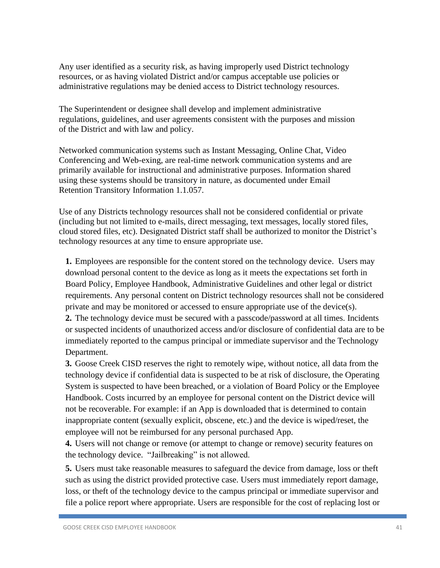Any user identified as a security risk, as having improperly used District technology resources, or as having violated District and/or campus acceptable use policies or administrative regulations may be denied access to District technology resources.

The Superintendent or designee shall develop and implement administrative regulations, guidelines, and user agreements consistent with the purposes and mission of the District and with law and policy.

Networked communication systems such as Instant Messaging, Online Chat, Video Conferencing and Web-exing, are real-time network communication systems and are primarily available for instructional and administrative purposes. Information shared using these systems should be transitory in nature, as documented under Email Retention Transitory Information 1.1.057.

Use of any Districts technology resources shall not be considered confidential or private (including but not limited to e-mails, direct messaging, text messages, locally stored files, cloud stored files, etc). Designated District staff shall be authorized to monitor the District's technology resources at any time to ensure appropriate use.

**1.** Employees are responsible for the content stored on the technology device. Users may download personal content to the device as long as it meets the expectations set forth in Board Policy, Employee Handbook, Administrative Guidelines and other legal or district requirements. Any personal content on District technology resources shall not be considered private and may be monitored or accessed to ensure appropriate use of the device(s).

**2.** The technology device must be secured with a passcode/password at all times. Incidents or suspected incidents of unauthorized access and/or disclosure of confidential data are to be immediately reported to the campus principal or immediate supervisor and the Technology Department.

**3.** Goose Creek CISD reserves the right to remotely wipe, without notice, all data from the technology device if confidential data is suspected to be at risk of disclosure, the Operating System is suspected to have been breached, or a violation of Board Policy or the Employee Handbook. Costs incurred by an employee for personal content on the District device will not be recoverable. For example: if an App is downloaded that is determined to contain inappropriate content (sexually explicit, obscene, etc.) and the device is wiped/reset, the employee will not be reimbursed for any personal purchased App.

**4.** Users will not change or remove (or attempt to change or remove) security features on the technology device. "Jailbreaking" is not allowed.

**5.** Users must take reasonable measures to safeguard the device from damage, loss or theft such as using the district provided protective case. Users must immediately report damage, loss, or theft of the technology device to the campus principal or immediate supervisor and file a police report where appropriate. Users are responsible for the cost of replacing lost or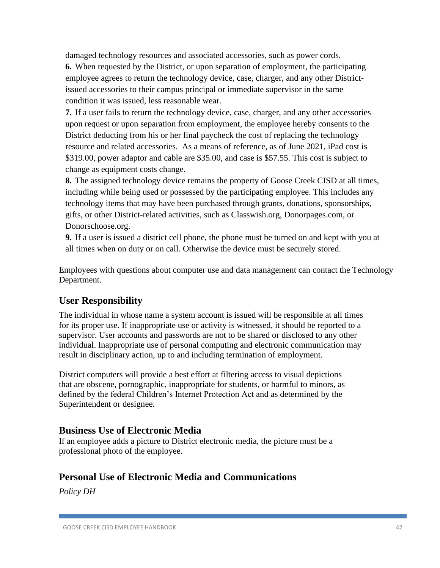damaged technology resources and associated accessories, such as power cords.

**6.** When requested by the District, or upon separation of employment, the participating employee agrees to return the technology device, case, charger, and any other Districtissued accessories to their campus principal or immediate supervisor in the same condition it was issued, less reasonable wear.

**7.** If a user fails to return the technology device, case, charger, and any other accessories upon request or upon separation from employment, the employee hereby consents to the District deducting from his or her final paycheck the cost of replacing the technology resource and related accessories. As a means of reference, as of June 2021, iPad cost is \$319.00, power adaptor and cable are \$35.00, and case is \$57.55. This cost is subject to change as equipment costs change.

**8.** The assigned technology device remains the property of Goose Creek CISD at all times, including while being used or possessed by the participating employee. This includes any technology items that may have been purchased through grants, donations, sponsorships, gifts, or other District-related activities, such as Classwish.org, Donorpages.com, or Donorschoose.org.

**9.** If a user is issued a district cell phone, the phone must be turned on and kept with you at all times when on duty or on call. Otherwise the device must be securely stored.

Employees with questions about computer use and data management can contact the Technology Department.

# **User Responsibility**

The individual in whose name a system account is issued will be responsible at all times for its proper use. If inappropriate use or activity is witnessed, it should be reported to a supervisor. User accounts and passwords are not to be shared or disclosed to any other individual. Inappropriate use of personal computing and electronic communication may result in disciplinary action, up to and including termination of employment.

District computers will provide a best effort at filtering access to visual depictions that are obscene, pornographic, inappropriate for students, or harmful to minors, as defined by the federal Children's Internet Protection Act and as determined by the Superintendent or designee.

## **Business Use of Electronic Media**

If an employee adds a picture to District electronic media, the picture must be a professional photo of the employee.

# **Personal Use of Electronic Media and Communications**

*Policy DH*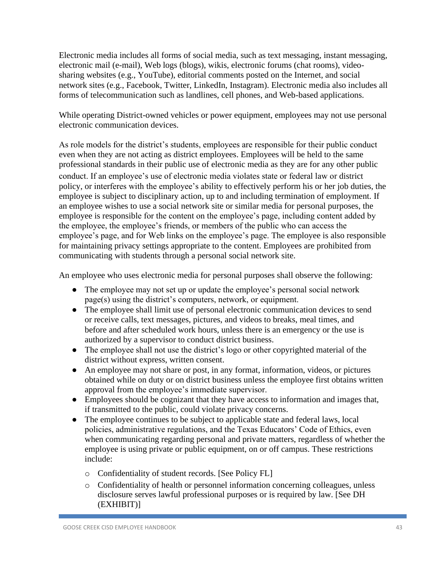Electronic media includes all forms of social media, such as text messaging, instant messaging, electronic mail (e-mail), Web logs (blogs), wikis, electronic forums (chat rooms), videosharing websites (e.g., YouTube), editorial comments posted on the Internet, and social network sites (e.g., Facebook, Twitter, LinkedIn, Instagram). Electronic media also includes all forms of telecommunication such as landlines, cell phones, and Web-based applications.

While operating District-owned vehicles or power equipment, employees may not use personal electronic communication devices.

As role models for the district's students, employees are responsible for their public conduct even when they are not acting as district employees. Employees will be held to the same professional standards in their public use of electronic media as they are for any other public conduct. If an employee's use of electronic media violates state or federal law or district policy, or interferes with the employee's ability to effectively perform his or her job duties, the employee is subject to disciplinary action, up to and including termination of employment. If an employee wishes to use a social network site or similar media for personal purposes, the employee is responsible for the content on the employee's page, including content added by the employee, the employee's friends, or members of the public who can access the employee's page, and for Web links on the employee's page. The employee is also responsible for maintaining privacy settings appropriate to the content. Employees are prohibited from communicating with students through a personal social network site.

An employee who uses electronic media for personal purposes shall observe the following:

- The employee may not set up or update the employee's personal social network page(s) using the district's computers, network, or equipment.
- The employee shall limit use of personal electronic communication devices to send or receive calls, text messages, pictures, and videos to breaks, meal times, and before and after scheduled work hours, unless there is an emergency or the use is authorized by a supervisor to conduct district business.
- The employee shall not use the district's logo or other copyrighted material of the district without express, written consent.
- An employee may not share or post, in any format, information, videos, or pictures obtained while on duty or on district business unless the employee first obtains written approval from the employee's immediate supervisor.
- Employees should be cognizant that they have access to information and images that, if transmitted to the public, could violate privacy concerns.
- The employee continues to be subject to applicable state and federal laws, local policies, administrative regulations, and the Texas Educators' Code of Ethics, even when communicating regarding personal and private matters, regardless of whether the employee is using private or public equipment, on or off campus. These restrictions include:
	- o Confidentiality of student records. [See Policy FL]
	- o Confidentiality of health or personnel information concerning colleagues, unless disclosure serves lawful professional purposes or is required by law. [See DH (EXHIBIT)]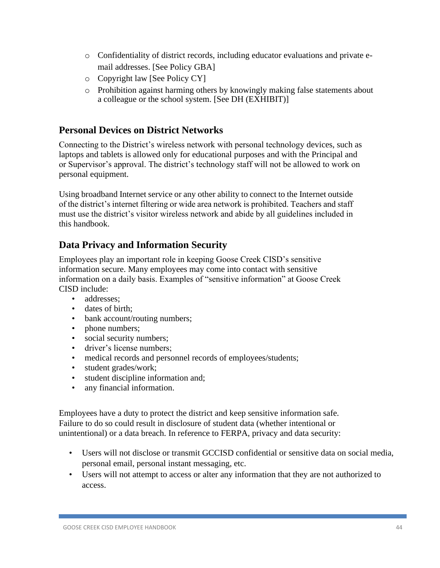- o Confidentiality of district records, including educator evaluations and private email addresses. [See Policy GBA]
- o Copyright law [See Policy CY]
- o Prohibition against harming others by knowingly making false statements about a colleague or the school system. [See DH (EXHIBIT)]

### **Personal Devices on District Networks**

Connecting to the District's wireless network with personal technology devices, such as laptops and tablets is allowed only for educational purposes and with the Principal and or Supervisor's approval. The district's technology staff will not be allowed to work on personal equipment.

Using broadband Internet service or any other ability to connect to the Internet outside of the district's internet filtering or wide area network is prohibited. Teachers and staff must use the district's visitor wireless network and abide by all guidelines included in this handbook.

## **Data Privacy and Information Security**

Employees play an important role in keeping Goose Creek CISD's sensitive information secure. Many employees may come into contact with sensitive information on a daily basis. Examples of "sensitive information" at Goose Creek CISD include:

- addresses:
- dates of birth:
- bank account/routing numbers;
- phone numbers;
- social security numbers;
- driver's license numbers:
- medical records and personnel records of employees/students;
- student grades/work;
- student discipline information and;
- any financial information.

Employees have a duty to protect the district and keep sensitive information safe. Failure to do so could result in disclosure of student data (whether intentional or unintentional) or a data breach. In reference to FERPA, privacy and data security:

- Users will not disclose or transmit GCCISD confidential or sensitive data on social media, personal email, personal instant messaging, etc.
- Users will not attempt to access or alter any information that they are not authorized to access.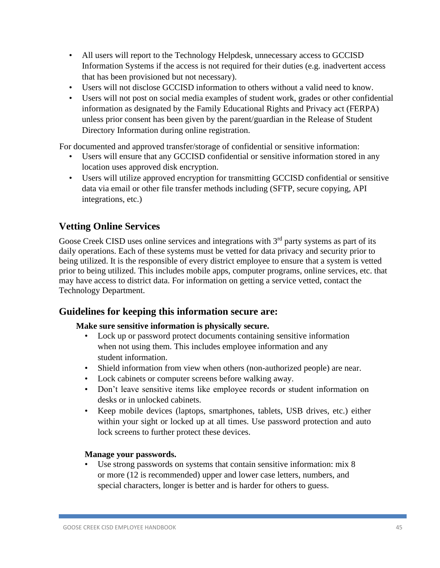- All users will report to the Technology Helpdesk, unnecessary access to GCCISD Information Systems if the access is not required for their duties (e.g. inadvertent access that has been provisioned but not necessary).
- Users will not disclose GCCISD information to others without a valid need to know.
- Users will not post on social media examples of student work, grades or other confidential information as designated by the Family Educational Rights and Privacy act (FERPA) unless prior consent has been given by the parent/guardian in the Release of Student Directory Information during online registration.

For documented and approved transfer/storage of confidential or sensitive information:

- Users will ensure that any GCCISD confidential or sensitive information stored in any location uses approved disk encryption.
- Users will utilize approved encryption for transmitting GCCISD confidential or sensitive data via email or other file transfer methods including (SFTP, secure copying, API integrations, etc.)

# **Vetting Online Services**

Goose Creek CISD uses online services and integrations with  $3<sup>rd</sup>$  party systems as part of its daily operations. Each of these systems must be vetted for data privacy and security prior to being utilized. It is the responsible of every district employee to ensure that a system is vetted prior to being utilized. This includes mobile apps, computer programs, online services, etc. that may have access to district data. For information on getting a service vetted, contact the Technology Department.

## **Guidelines for keeping this information secure are:**

### **Make sure sensitive information is physically secure.**

- Lock up or password protect documents containing sensitive information when not using them. This includes employee information and any student information.
- Shield information from view when others (non-authorized people) are near.
- Lock cabinets or computer screens before walking away.
- Don't leave sensitive items like employee records or student information on desks or in unlocked cabinets.
- Keep mobile devices (laptops, smartphones, tablets, USB drives, etc.) either within your sight or locked up at all times. Use password protection and auto lock screens to further protect these devices.

#### **Manage your passwords.**

Use strong passwords on systems that contain sensitive information: mix 8 or more (12 is recommended) upper and lower case letters, numbers, and special characters, longer is better and is harder for others to guess.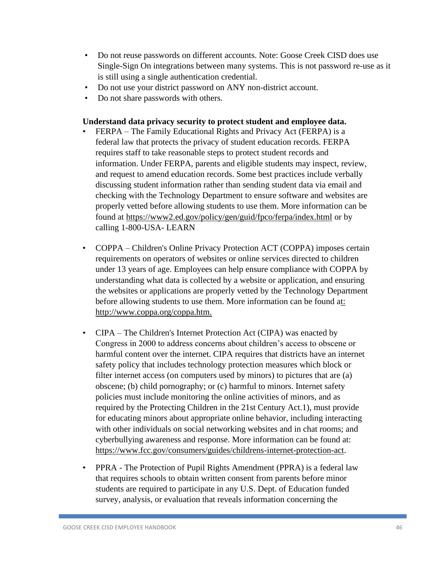- Do not reuse passwords on different accounts. Note: Goose Creek CISD does use Single-Sign On integrations between many systems. This is not password re-use as it is still using a single authentication credential.
- Do not use your district password on ANY non-district account.
- Do not share passwords with others.

### **Understand data privacy security to protect student and employee data.**

- FERPA The Family Educational Rights and Privacy Act (FERPA) is a federal law that protects the privacy of student education records. FERPA requires staff to take reasonable steps to protect student records and information. Under FERPA, parents and eligible students may inspect, review, and request to amend education records. Some best practices include verbally discussing student information rather than sending student data via email and checking with the Technology Department to ensure software and websites are properly vetted before allowing students to use them. More information can be found at<https://www2.ed.gov/policy/gen/guid/fpco/ferpa/index.html> or by calling 1-800-USA- LEARN
- COPPA Children's Online Privacy Protection ACT (COPPA) imposes certain requirements on operators of websites or online services directed to children under 13 years of age. Employees can help ensure compliance with COPPA by understanding what data is collected by a website or application, and ensuring the websites or applications are properly vetted by the Technology Department before allowing students to use them. More information can be found [at:](http://www.coppa.org/coppa.htm)  [http://www.coppa.org/coppa.htm.](http://www.coppa.org/coppa.htm)
- CIPA The Children's Internet Protection Act (CIPA) was enacted by Congress in 2000 to address concerns about children's access to obscene or harmful content over the internet. CIPA requires that districts have an internet safety policy that includes technology protection measures which block or filter internet access (on computers used by minors) to pictures that are (a) obscene; (b) child pornography; or (c) harmful to minors. Internet safety policies must include monitoring the online activities of minors, and as required by the Protecting Children in the 21st Century Act.1), must provide for educating minors about appropriate online behavior, including interacting with other individuals on social networking websites and in chat rooms; and cyberbullying awareness and response. More information can be found at: [https://www.fcc.gov/consumers/guides/childrens-internet-protection-act.](https://www.fcc.gov/consumers/guides/childrens-internet-protection-act)
- PPRA The Protection of Pupil Rights Amendment (PPRA) is a federal law that requires schools to obtain written consent from parents before minor students are required to participate in any U.S. Dept. of Education funded survey, analysis, or evaluation that reveals information concerning the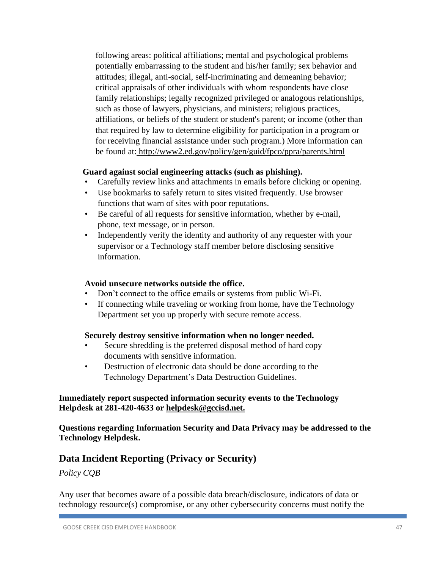following areas: political affiliations; mental and psychological problems potentially embarrassing to the student and his/her family; sex behavior and attitudes; illegal, anti-social, self-incriminating and demeaning behavior; critical appraisals of other individuals with whom respondents have close family relationships; legally recognized privileged or analogous relationships, such as those of lawyers, physicians, and ministers; religious practices, affiliations, or beliefs of the student or student's parent; or income (other than that required by law to determine eligibility for participation in a program or for receiving financial assistance under such program.) More information can be found at: <http://www2.ed.gov/policy/gen/guid/fpco/ppra/parents.html>

### **Guard against social engineering attacks (such as phishing).**

- Carefully review links and attachments in emails before clicking or opening.
- Use bookmarks to safely return to sites visited frequently. Use browser functions that warn of sites with poor reputations.
- Be careful of all requests for sensitive information, whether by e-mail, phone, text message, or in person.
- Independently verify the identity and authority of any requester with your supervisor or a Technology staff member before disclosing sensitive information.

#### **Avoid unsecure networks outside the office.**

- Don't connect to the office emails or systems from public Wi-Fi.
- If connecting while traveling or working from home, have the Technology Department set you up properly with secure remote access.

#### **Securely destroy sensitive information when no longer needed.**

- Secure shredding is the preferred disposal method of hard copy documents with sensitive information.
- Destruction of electronic data should be done according to the Technology Department's Data Destruction Guidelines.

#### **Immediately report suspected information security events to the Technology Helpdesk at 281-420-4633 or [helpdesk@gccisd.net.](mailto:helpdesk@gccisd.net)**

**Questions regarding Information Security and Data Privacy may be addressed to the Technology Helpdesk.**

## **Data Incident Reporting (Privacy or Security)**

*Policy CQB*

Any user that becomes aware of a possible data breach/disclosure, indicators of data or technology resource(s) compromise, or any other cybersecurity concerns must notify the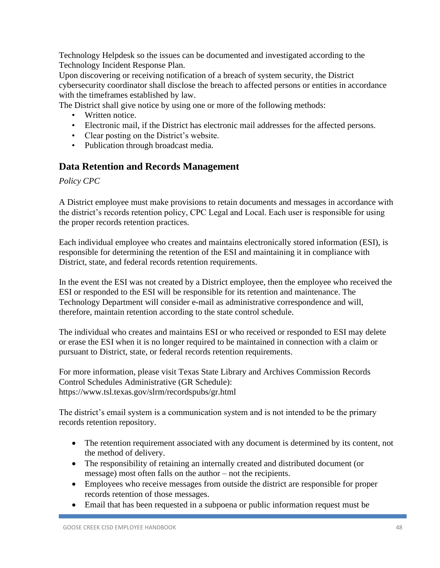Technology Helpdesk so the issues can be documented and investigated according to the Technology Incident Response Plan.

Upon discovering or receiving notification of a breach of system security, the District cybersecurity coordinator shall disclose the breach to affected persons or entities in accordance with the timeframes established by law.

The District shall give notice by using one or more of the following methods:

- Written notice.
- Electronic mail, if the District has electronic mail addresses for the affected persons.
- Clear posting on the District's website.
- Publication through broadcast media.

## **Data Retention and Records Management**

*Policy CPC*

A District employee must make provisions to retain documents and messages in accordance with the district's records retention policy, CPC Legal and Local. Each user is responsible for using the proper records retention practices.

Each individual employee who creates and maintains electronically stored information (ESI), is responsible for determining the retention of the ESI and maintaining it in compliance with District, state, and federal records retention requirements.

In the event the ESI was not created by a District employee, then the employee who received the ESI or responded to the ESI will be responsible for its retention and maintenance. The Technology Department will consider e-mail as administrative correspondence and will, therefore, maintain retention according to the state control schedule.

The individual who creates and maintains ESI or who received or responded to ESI may delete or erase the ESI when it is no longer required to be maintained in connection with a claim or pursuant to District, state, or federal records retention requirements.

For more information, please visit Texas State Library and Archives Commission Records Control Schedules Administrative (GR Schedule): https://www.tsl.texas.gov/slrm/recordspubs/gr.html

The district's email system is a communication system and is not intended to be the primary records retention repository.

- The retention requirement associated with any document is determined by its content, not the method of delivery.
- The responsibility of retaining an internally created and distributed document (or message) most often falls on the author – not the recipients.
- Employees who receive messages from outside the district are responsible for proper records retention of those messages.
- Email that has been requested in a subpoena or public information request must be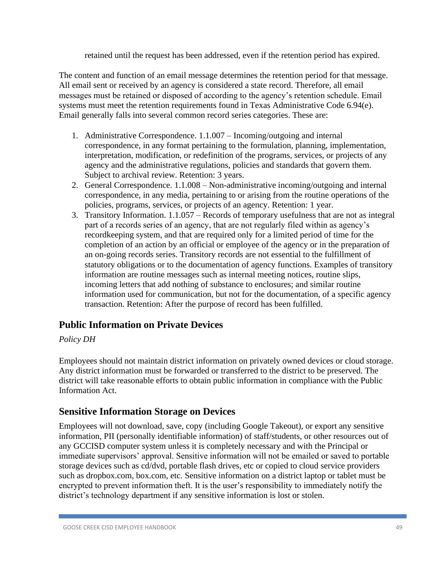retained until the request has been addressed, even if the retention period has expired.

The content and function of an email message determines the retention period for that message. All email sent or received by an agency is considered a state record. Therefore, all email messages must be retained or disposed of according to the agency's retention schedule. Email systems must meet the retention requirements found in Texas Administrative Code 6.94(e). Email generally falls into several common record series categories. These are:

- 1. Administrative Correspondence. 1.1.007 Incoming/outgoing and internal correspondence, in any format pertaining to the formulation, planning, implementation, interpretation, modification, or redefinition of the programs, services, or projects of any agency and the administrative regulations, policies and standards that govern them. Subject to archival review. Retention: 3 years.
- 2. General Correspondence. 1.1.008 Non-administrative incoming/outgoing and internal correspondence, in any media, pertaining to or arising from the routine operations of the policies, programs, services, or projects of an agency. Retention: 1 year.
- 3. Transitory Information. 1.1.057 Records of temporary usefulness that are not as integral part of a records series of an agency, that are not regularly filed within as agency's recordkeeping system, and that are required only for a limited period of time for the completion of an action by an official or employee of the agency or in the preparation of an on-going records series. Transitory records are not essential to the fulfillment of statutory obligations or to the documentation of agency functions. Examples of transitory information are routine messages such as internal meeting notices, routine slips, incoming letters that add nothing of substance to enclosures; and similar routine information used for communication, but not for the documentation, of a specific agency transaction. Retention: After the purpose of record has been fulfilled.

# **Public Information on Private Devices**

### *Policy DH*

Employees should not maintain district information on privately owned devices or cloud storage. Any district information must be forwarded or transferred to the district to be preserved. The district will take reasonable efforts to obtain public information in compliance with the Public Information Act.

## **Sensitive Information Storage on Devices**

Employees will not download, save, copy (including Google Takeout), or export any sensitive information, PII (personally identifiable information) of staff/students, or other resources out of any GCCISD computer system unless it is completely necessary and with the Principal or immediate supervisors' approval. Sensitive information will not be emailed or saved to portable storage devices such as cd/dvd, portable flash drives, etc or copied to cloud service providers such as dropbox.com, box.com, etc. Sensitive information on a district laptop or tablet must be encrypted to prevent information theft. It is the user's responsibility to immediately notify the district's technology department if any sensitive information is lost or stolen.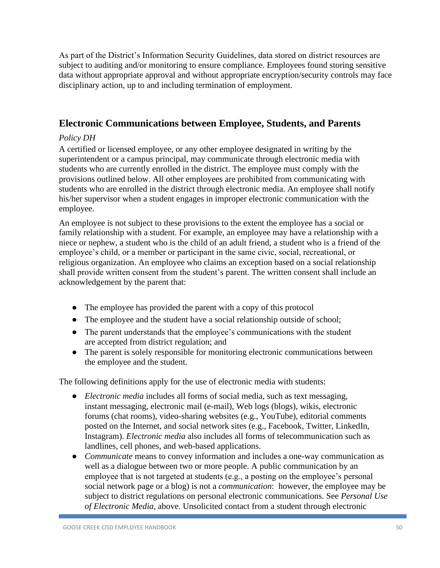As part of the District's Information Security Guidelines, data stored on district resources are subject to auditing and/or monitoring to ensure compliance. Employees found storing sensitive data without appropriate approval and without appropriate encryption/security controls may face disciplinary action, up to and including termination of employment.

## **Electronic Communications between Employee, Students, and Parents**

#### *Policy DH*

A certified or licensed employee, or any other employee designated in writing by the superintendent or a campus principal, may communicate through electronic media with students who are currently enrolled in the district. The employee must comply with the provisions outlined below. All other employees are prohibited from communicating with students who are enrolled in the district through electronic media. An employee shall notify his/her supervisor when a student engages in improper electronic communication with the employee.

An employee is not subject to these provisions to the extent the employee has a social or family relationship with a student. For example, an employee may have a relationship with a niece or nephew, a student who is the child of an adult friend, a student who is a friend of the employee's child, or a member or participant in the same civic, social, recreational, or religious organization. An employee who claims an exception based on a social relationship shall provide written consent from the student's parent. The written consent shall include an acknowledgement by the parent that:

- The employee has provided the parent with a copy of this protocol
- The employee and the student have a social relationship outside of school;
- The parent understands that the employee's communications with the student are accepted from district regulation; and
- The parent is solely responsible for monitoring electronic communications between the employee and the student.

The following definitions apply for the use of electronic media with students:

- *Electronic media* includes all forms of social media, such as text messaging, instant messaging, electronic mail (e-mail), Web logs (blogs), wikis, electronic forums (chat rooms), video-sharing websites (e.g., YouTube), editorial comments posted on the Internet, and social network sites (e.g., Facebook, Twitter, LinkedIn, Instagram). *Electronic media* also includes all forms of telecommunication such as landlines, cell phones, and web-based applications.
- *Communicate* means to convey information and includes a one-way communication as well as a dialogue between two or more people. A public communication by an employee that is not targeted at students (e.g., a posting on the employee's personal social network page or a blog) is not a *communication*: however, the employee may be subject to district regulations on personal electronic communications. See *Personal Use of Electronic Media*, above. Unsolicited contact from a student through electronic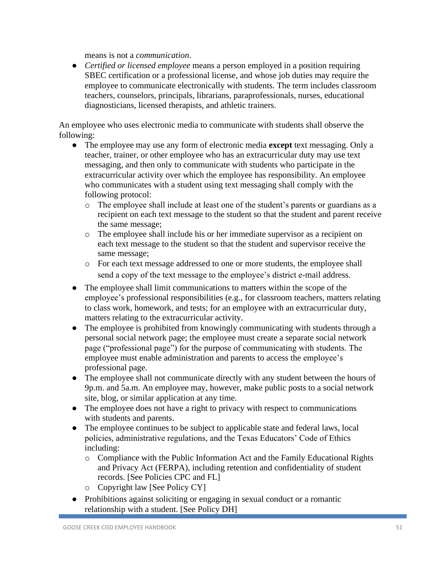means is not a *communication*.

● *Certified or licensed employee* means a person employed in a position requiring SBEC certification or a professional license, and whose job duties may require the employee to communicate electronically with students. The term includes classroom teachers, counselors, principals, librarians, paraprofessionals, nurses, educational diagnosticians, licensed therapists, and athletic trainers.

An employee who uses electronic media to communicate with students shall observe the following:

- The employee may use any form of electronic media **except** text messaging. Only a teacher, trainer, or other employee who has an extracurricular duty may use text messaging, and then only to communicate with students who participate in the extracurricular activity over which the employee has responsibility. An employee who communicates with a student using text messaging shall comply with the following protocol:
	- o The employee shall include at least one of the student's parents or guardians as a recipient on each text message to the student so that the student and parent receive the same message;
	- o The employee shall include his or her immediate supervisor as a recipient on each text message to the student so that the student and supervisor receive the same message;
	- o For each text message addressed to one or more students, the employee shall send a copy of the text message to the employee's district e-mail address.
- The employee shall limit communications to matters within the scope of the employee's professional responsibilities (e.g., for classroom teachers, matters relating to class work, homework, and tests; for an employee with an extracurricular duty, matters relating to the extracurricular activity.
- The employee is prohibited from knowingly communicating with students through a personal social network page; the employee must create a separate social network page ("professional page") for the purpose of communicating with students. The employee must enable administration and parents to access the employee's professional page.
- The employee shall not communicate directly with any student between the hours of 9p.m. and 5a.m. An employee may, however, make public posts to a social network site, blog, or similar application at any time.
- The employee does not have a right to privacy with respect to communications with students and parents.
- The employee continues to be subject to applicable state and federal laws, local policies, administrative regulations, and the Texas Educators' Code of Ethics including:
	- o Compliance with the Public Information Act and the Family Educational Rights and Privacy Act (FERPA), including retention and confidentiality of student records. [See Policies CPC and FL]
	- o Copyright law [See Policy CY]
- Prohibitions against soliciting or engaging in sexual conduct or a romantic relationship with a student. [See Policy DH]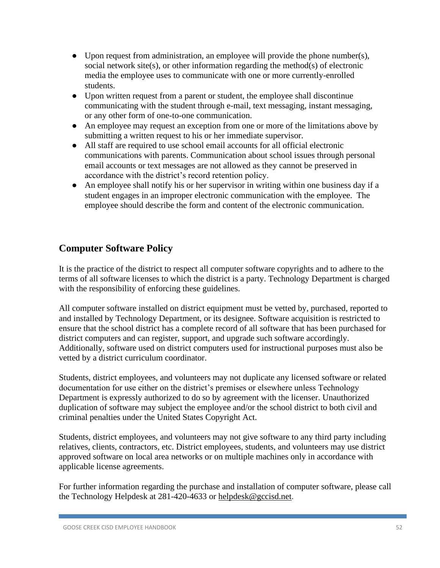- Upon request from administration, an employee will provide the phone number(s), social network site(s), or other information regarding the method(s) of electronic media the employee uses to communicate with one or more currently-enrolled students.
- Upon written request from a parent or student, the employee shall discontinue communicating with the student through e-mail, text messaging, instant messaging, or any other form of one-to-one communication.
- An employee may request an exception from one or more of the limitations above by submitting a written request to his or her immediate supervisor.
- All staff are required to use school email accounts for all official electronic communications with parents. Communication about school issues through personal email accounts or text messages are not allowed as they cannot be preserved in accordance with the district's record retention policy.
- An employee shall notify his or her supervisor in writing within one business day if a student engages in an improper electronic communication with the employee. The employee should describe the form and content of the electronic communication.

# **Computer Software Policy**

It is the practice of the district to respect all computer software copyrights and to adhere to the terms of all software licenses to which the district is a party. Technology Department is charged with the responsibility of enforcing these guidelines.

All computer software installed on district equipment must be vetted by, purchased, reported to and installed by Technology Department, or its designee. Software acquisition is restricted to ensure that the school district has a complete record of all software that has been purchased for district computers and can register, support, and upgrade such software accordingly. Additionally, software used on district computers used for instructional purposes must also be vetted by a district curriculum coordinator.

Students, district employees, and volunteers may not duplicate any licensed software or related documentation for use either on the district's premises or elsewhere unless Technology Department is expressly authorized to do so by agreement with the licenser. Unauthorized duplication of software may subject the employee and/or the school district to both civil and criminal penalties under the United States Copyright Act.

Students, district employees, and volunteers may not give software to any third party including relatives, clients, contractors, etc. District employees, students, and volunteers may use district approved software on local area networks or on multiple machines only in accordance with applicable license agreements.

For further information regarding the purchase and installation of computer software, please call the Technology Helpdesk at 281-420-4633 or [helpdesk@gccisd.net](mailto:helpdesk@gccisd.net).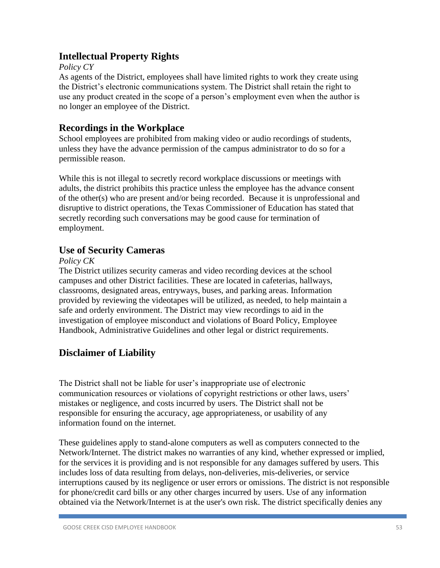## **Intellectual Property Rights**

### *Policy CY*

As agents of the District, employees shall have limited rights to work they create using the District's electronic communications system. The District shall retain the right to use any product created in the scope of a person's employment even when the author is no longer an employee of the District.

## **Recordings in the Workplace**

School employees are prohibited from making video or audio recordings of students, unless they have the advance permission of the campus administrator to do so for a permissible reason.

While this is not illegal to secretly record workplace discussions or meetings with adults, the district prohibits this practice unless the employee has the advance consent of the other(s) who are present and/or being recorded. Because it is unprofessional and disruptive to district operations, the Texas Commissioner of Education has stated that secretly recording such conversations may be good cause for termination of employment.

## **Use of Security Cameras**

### *Policy CK*

The District utilizes security cameras and video recording devices at the school campuses and other District facilities. These are located in cafeterias, hallways, classrooms, designated areas, entryways, buses, and parking areas. Information provided by reviewing the videotapes will be utilized, as needed, to help maintain a safe and orderly environment. The District may view recordings to aid in the investigation of employee misconduct and violations of Board Policy, Employee Handbook, Administrative Guidelines and other legal or district requirements.

# **Disclaimer of Liability**

The District shall not be liable for user's inappropriate use of electronic communication resources or violations of copyright restrictions or other laws, users' mistakes or negligence, and costs incurred by users. The District shall not be responsible for ensuring the accuracy, age appropriateness, or usability of any information found on the internet.

These guidelines apply to stand-alone computers as well as computers connected to the Network/Internet. The district makes no warranties of any kind, whether expressed or implied, for the services it is providing and is not responsible for any damages suffered by users. This includes loss of data resulting from delays, non-deliveries, mis-deliveries, or service interruptions caused by its negligence or user errors or omissions. The district is not responsible for phone/credit card bills or any other charges incurred by users. Use of any information obtained via the Network/Internet is at the user's own risk. The district specifically denies any